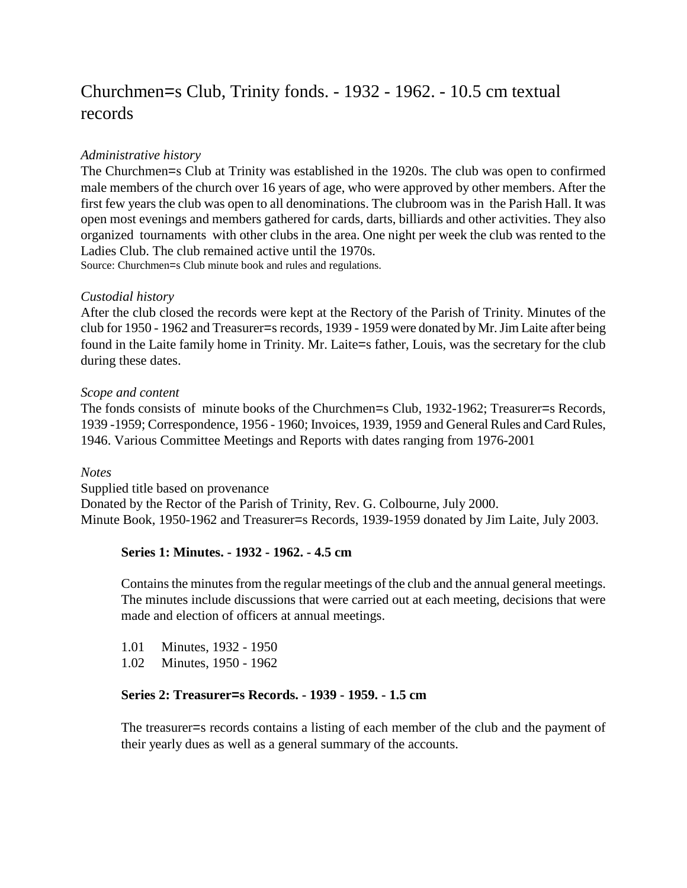# Churchmen=s Club, Trinity fonds. - 1932 - 1962. - 10.5 cm textual records

## *Administrative history*

The Churchmen=s Club at Trinity was established in the 1920s. The club was open to confirmed male members of the church over 16 years of age, who were approved by other members. After the first few years the club was open to all denominations. The clubroom was in the Parish Hall. It was open most evenings and members gathered for cards, darts, billiards and other activities. They also organized tournaments with other clubs in the area. One night per week the club was rented to the Ladies Club. The club remained active until the 1970s.

Source: Churchmen=s Club minute book and rules and regulations.

## *Custodial history*

After the club closed the records were kept at the Rectory of the Parish of Trinity. Minutes of the club for 1950 - 1962 and Treasurer=s records, 1939 - 1959 were donated by Mr. Jim Laite after being found in the Laite family home in Trinity. Mr. Laite=s father, Louis, was the secretary for the club during these dates.

#### *Scope and content*

The fonds consists of minute books of the Churchmen=s Club, 1932-1962; Treasurer=s Records, 1939 -1959; Correspondence, 1956 - 1960; Invoices, 1939, 1959 and General Rules and Card Rules, 1946. Various Committee Meetings and Reports with dates ranging from 1976-2001

#### *Notes*

Supplied title based on provenance Donated by the Rector of the Parish of Trinity, Rev. G. Colbourne, July 2000. Minute Book, 1950-1962 and Treasurer=s Records, 1939-1959 donated by Jim Laite, July 2003.

## **Series 1: Minutes. - 1932 - 1962. - 4.5 cm**

Contains the minutes from the regular meetings of the club and the annual general meetings. The minutes include discussions that were carried out at each meeting, decisions that were made and election of officers at annual meetings.

1.01 Minutes, 1932 - 1950

1.02 Minutes, 1950 - 1962

#### **Series 2: Treasurer=s Records. - 1939 - 1959. - 1.5 cm**

The treasurer=s records contains a listing of each member of the club and the payment of their yearly dues as well as a general summary of the accounts.